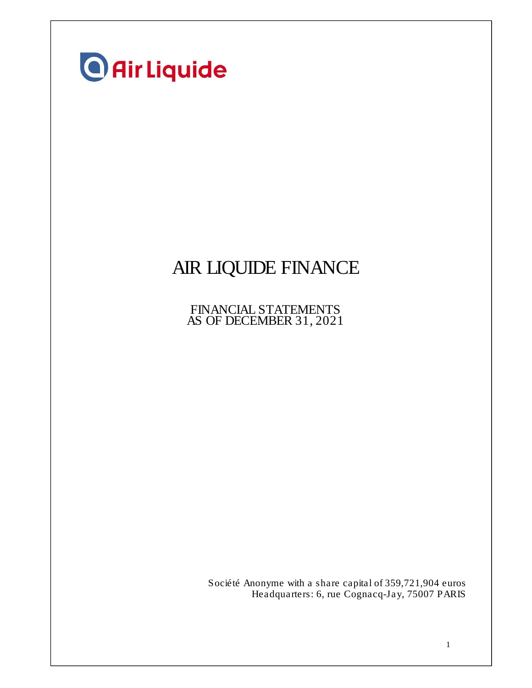

# AIR LIQUIDE FINANCE

FINANCIAL STATEMENTS AS OF DECEMBER 31, 2021

> Société Anonyme with a share capital of 359,721,904 euros Headquarters: 6, rue Cognacq-Jay, 75007 PARIS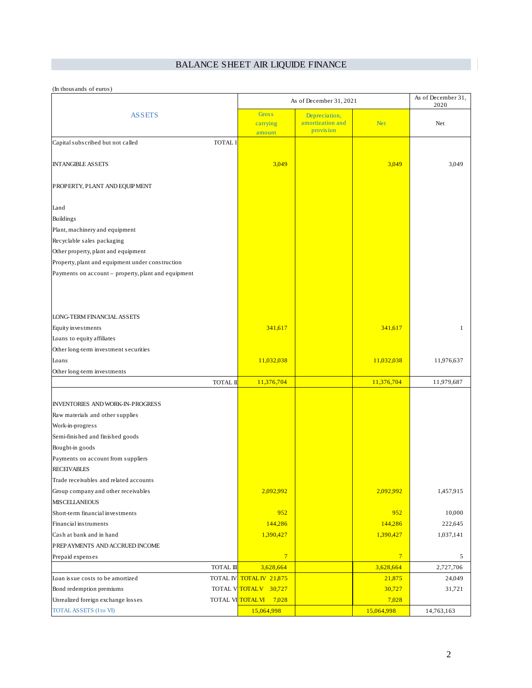# BALANCE SHEET AIR LIQUIDE FINANCE

| (In thousands of euros)                             |                  |                                    |                                                |                         |            |  |  |
|-----------------------------------------------------|------------------|------------------------------------|------------------------------------------------|-------------------------|------------|--|--|
|                                                     |                  |                                    |                                                | As of December 31, 2021 |            |  |  |
| <b>ASSETS</b>                                       |                  | <b>Gross</b><br>carrying<br>amount | Depreciation,<br>amortization and<br>provision | <b>Net</b>              | Net        |  |  |
| Capital subscribed but not called                   | <b>TOTAL I</b>   |                                    |                                                |                         |            |  |  |
| <b>INTANGIBLE ASSETS</b>                            |                  | 3,049                              |                                                | 3,049                   | 3,049      |  |  |
| PROPERTY, PLANT AND EQUIPMENT                       |                  |                                    |                                                |                         |            |  |  |
| Land                                                |                  |                                    |                                                |                         |            |  |  |
| Buildings                                           |                  |                                    |                                                |                         |            |  |  |
| Plant, machinery and equipment                      |                  |                                    |                                                |                         |            |  |  |
| Recyclable sales packaging                          |                  |                                    |                                                |                         |            |  |  |
| Other property, plant and equipment                 |                  |                                    |                                                |                         |            |  |  |
| Property, plant and equipment under construction    |                  |                                    |                                                |                         |            |  |  |
| Payments on account - property, plant and equipment |                  |                                    |                                                |                         |            |  |  |
| LONG-TERM FINANCIAL ASSETS                          |                  |                                    |                                                |                         |            |  |  |
| Equity investments                                  |                  | 341,617                            |                                                | 341,617                 | 1          |  |  |
| Loans to equity affiliates                          |                  |                                    |                                                |                         |            |  |  |
| Other long-term investment securities               |                  |                                    |                                                |                         |            |  |  |
| Loans                                               |                  | 11,032,038                         |                                                | 11,032,038              | 11,976,637 |  |  |
| Other long-term investments                         |                  |                                    |                                                |                         |            |  |  |
|                                                     | TOTAL II         | 11,376,704                         |                                                | 11,376,704              | 11,979,687 |  |  |
|                                                     |                  |                                    |                                                |                         |            |  |  |
| <b>INVENTORIES AND WORK-IN-PROGRESS</b>             |                  |                                    |                                                |                         |            |  |  |
| Raw materials and other supplies                    |                  |                                    |                                                |                         |            |  |  |
| Work-in-progress                                    |                  |                                    |                                                |                         |            |  |  |
| Semi-finished and finished goods                    |                  |                                    |                                                |                         |            |  |  |
| Bought-in goods                                     |                  |                                    |                                                |                         |            |  |  |
| Payments on account from suppliers                  |                  |                                    |                                                |                         |            |  |  |
| <b>RECEIVABLES</b>                                  |                  |                                    |                                                |                         |            |  |  |
| Trade receivables and related accounts              |                  |                                    |                                                |                         |            |  |  |
| Group company and other receivables                 |                  | 2,092,992                          |                                                | 2,092,992               | 1,457,915  |  |  |
| <b>MISCELLANEOUS</b>                                |                  |                                    |                                                |                         |            |  |  |
| Short-term financial investments                    |                  | 952                                |                                                | 952                     | 10,000     |  |  |
| Financial instruments                               |                  | 144,286                            |                                                | 144,286                 | 222,645    |  |  |
| Cash at bank and in hand                            |                  | 1,390,427                          |                                                | 1,390,427               | 1,037,141  |  |  |
| PREPAYMENTS AND ACCRUED INCOME                      |                  |                                    |                                                |                         |            |  |  |
| Prepaid expenses                                    |                  | $7\phantom{.0}$                    |                                                | $7\phantom{.0}$         | 5          |  |  |
|                                                     | <b>TOTAL III</b> | 3,628,664                          |                                                | 3,628,664               | 2,727,706  |  |  |
| Loan issue costs to be amortized                    |                  | TOTAL IV TOTAL IV 21,875           |                                                | 21,875                  | 24,049     |  |  |
| Bond redemption premiums                            |                  | TOTAL VTOTAL V 30,727              |                                                | 30,727                  | 31,721     |  |  |
| Unrealized foreign exchange losses                  | TOTAL VITOTAL VI | 7,028                              |                                                | 7,028                   |            |  |  |
| <b>TOTAL ASSETS (I to VI)</b>                       |                  | 15,064,998                         |                                                | 15,064,998              | 14,763,163 |  |  |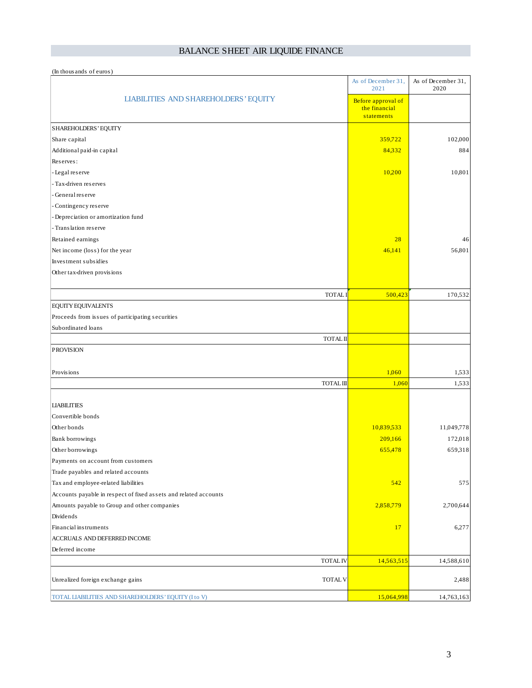# BALANCE SHEET AIR LIQUIDE FINANCE

(In thous ands of euros)

|                                                                  | As of December 31,<br>2021                        | As of December 31,<br>2020 |
|------------------------------------------------------------------|---------------------------------------------------|----------------------------|
| <b>LIABILITIES AND SHAREHOLDERS' EQUITY</b>                      | Before approval of<br>the financial<br>statements |                            |
| SHAREHOLDERS' EQUITY                                             |                                                   |                            |
| Share capital                                                    | 359,722                                           | 102,000                    |
| Additional paid-in capital                                       | 84,332                                            | 884                        |
| Reserves:                                                        |                                                   |                            |
| - Legal reserve                                                  | 10,200                                            | 10,801                     |
| - Tax-driven reserves                                            |                                                   |                            |
| General reserve                                                  |                                                   |                            |
| - Contingency reserve                                            |                                                   |                            |
| - Depreciation or amortization fund                              |                                                   |                            |
| - Translation reserve                                            |                                                   |                            |
| Retained earnings                                                | 28                                                | 46                         |
| Net income (loss) for the year                                   | 46,141                                            | 56,801                     |
| Investment subsidies                                             |                                                   |                            |
| Other tax-driven provisions                                      |                                                   |                            |
| <b>TOTALI</b>                                                    | 500,423                                           | 170,532                    |
| EQUITY EQUIVALENTS                                               |                                                   |                            |
| Proceeds from issues of participating securities                 |                                                   |                            |
| Subordinated loans                                               |                                                   |                            |
| <b>TOTAL II</b>                                                  |                                                   |                            |
| <b>PROVISION</b>                                                 |                                                   |                            |
| Provisions                                                       | 1,060                                             | 1,533                      |
| <b>TOTAL III</b>                                                 | 1,060                                             | 1,533                      |
|                                                                  |                                                   |                            |
| <b>LIABILITIES</b>                                               |                                                   |                            |
| Convertible bonds                                                |                                                   |                            |
| Other bonds                                                      | 10,839,533                                        | 11,049,778                 |
| Bank borrowings                                                  | 209,166                                           | 172,018                    |
| Other borrowings                                                 | 655,478                                           | 659,318                    |
| Payments on account from customers                               |                                                   |                            |
| Trade payables and related accounts                              |                                                   |                            |
| Tax and employee-related liabilities                             | 542                                               | 575                        |
| Accounts payable in respect of fixed assets and related accounts |                                                   |                            |
| Amounts payable to Group and other companies                     | 2,858,779                                         | 2,700,644                  |
| Dividends                                                        |                                                   |                            |
| Financial instruments                                            | 17                                                | 6,277                      |
| ACCRUALS AND DEFERRED INCOME                                     |                                                   |                            |
| Deferred income                                                  |                                                   |                            |
| <b>TOTAL IV</b>                                                  | 14,563,515                                        | 14,588,610                 |
| Unrealized foreign exchange gains<br><b>TOTAL V</b>              |                                                   | 2,488                      |
| TOTAL LIABILITIES AND SHAREHOLDERS' EQUITY (I to V)              | 15,064,998                                        | 14,763,163                 |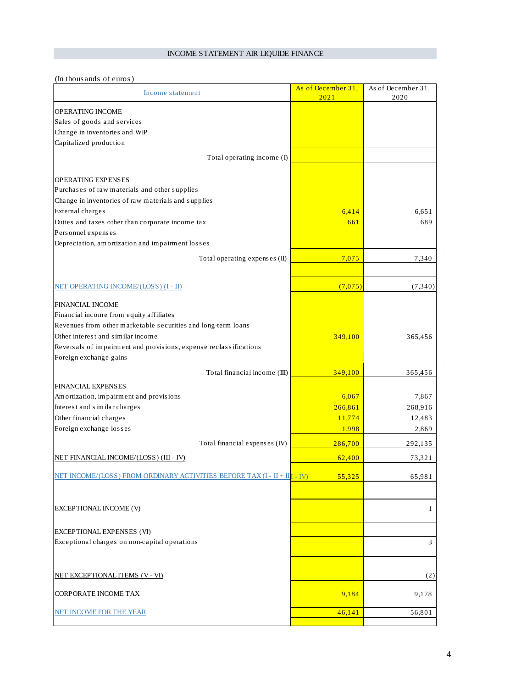### INCOME STATEMENT AIR LIQUIDE FINANCE

### (In thous ands of euros)

| Income statement                                                                                | As of December 31,<br>2021 | As of December 31,<br>2020 |
|-------------------------------------------------------------------------------------------------|----------------------------|----------------------------|
| OPERATING INCOME                                                                                |                            |                            |
| Sales of goods and services                                                                     |                            |                            |
| Change in inventories and WIP                                                                   |                            |                            |
| Capitalized production                                                                          |                            |                            |
|                                                                                                 |                            |                            |
| Total operating income (I)                                                                      |                            |                            |
| OPERATING EXPENSES                                                                              |                            |                            |
| Purchases of raw materials and other supplies                                                   |                            |                            |
| Change in inventories of raw materials and supplies                                             |                            |                            |
| External charges                                                                                | 6,414                      | 6.651                      |
| Duties and taxes other than corporate income tax                                                | 661                        | 689                        |
| Personnel expenses                                                                              |                            |                            |
| Depreciation, amortization and impairment losses                                                |                            |                            |
| Total operating expenses (II)                                                                   | 7,075                      | 7,340                      |
|                                                                                                 |                            |                            |
| NET OPERATING INCOME/(LOSS) (I - II)                                                            | (7,075)                    | (7,340)                    |
| <b>FINANCIAL INCOME</b>                                                                         |                            |                            |
| Financial income from equity affiliates                                                         |                            |                            |
| Revenues from other marketable securities and long-term loans                                   |                            |                            |
| Other interest and similar income                                                               | 349,100                    | 365,456                    |
| Reversals of impairment and provisions, expense reclassifications                               |                            |                            |
| Foreign exchange gains                                                                          |                            |                            |
|                                                                                                 |                            |                            |
| Total financial income (III)                                                                    | 349,100                    | 365,456                    |
| <b>FINANCIAL EXPENSES</b>                                                                       |                            |                            |
| Amortization, impairment and provisions                                                         | 6,067                      | 7,867                      |
| Interest and similar charges                                                                    | 266,861                    | 268,916                    |
| Other financial charges                                                                         | 11,774                     | 12,483                     |
| Foreign exchange losses                                                                         | 1,998                      | 2,869                      |
| Total financial expenses (IV)                                                                   | 286,700                    | 292,135                    |
| NET FINANCIAL INCOME/(LOSS) (III - IV)                                                          | 62,400                     | 73,321                     |
| NET INCOME/(LOSS) FROM ORDINARY ACTIVITIES BEFORE TAX (I - II + II $\left[ \cdot \right]$ - IV) | 55,325                     | 65,981                     |
|                                                                                                 |                            |                            |
| EXCEPTIONAL INCOME (V)                                                                          |                            | 1                          |
|                                                                                                 |                            |                            |
| <b>EXCEPTIONAL EXPENSES (VI)</b>                                                                |                            |                            |
| Exceptional charges on non-capital operations                                                   |                            | 3                          |
|                                                                                                 |                            |                            |
| NET EXCEPTIONAL ITEMS (V - VI)                                                                  |                            | (2)                        |
| <b>CORPORATE INCOME TAX</b>                                                                     | 9,184                      | 9,178                      |
| NET INCOME FOR THE YEAR                                                                         | 46,141                     | 56,801                     |
|                                                                                                 |                            |                            |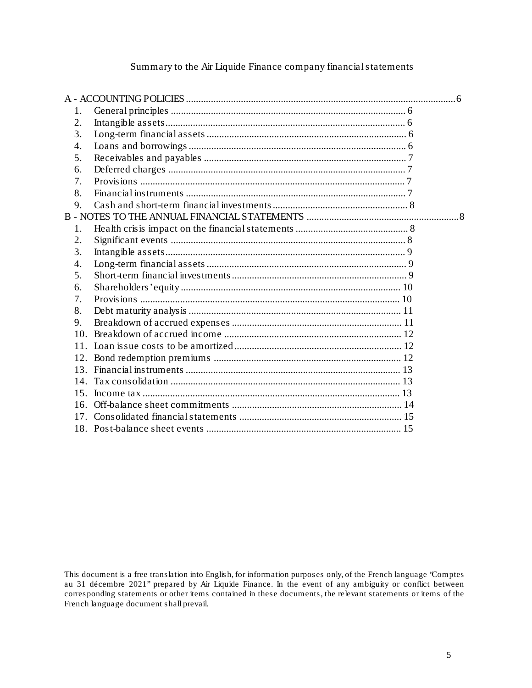# Summary to the Air Liquide Finance company financialstatements

| 1.              |  |  |
|-----------------|--|--|
| 2.              |  |  |
| 3.              |  |  |
| 4.              |  |  |
| 5.              |  |  |
| 6.              |  |  |
| 7.              |  |  |
| 8.              |  |  |
| 9.              |  |  |
|                 |  |  |
| 1.              |  |  |
| 2.              |  |  |
| 3.              |  |  |
| 4.              |  |  |
| 5.              |  |  |
| 6.              |  |  |
| 7.              |  |  |
| 8.              |  |  |
| 9.              |  |  |
| 10 <sub>1</sub> |  |  |
|                 |  |  |
|                 |  |  |
|                 |  |  |
| 14              |  |  |
| 15.             |  |  |
|                 |  |  |
|                 |  |  |
|                 |  |  |
|                 |  |  |

This document is a free translation into English, for information purposes only, of the French language 'Comptes au 31 décembre 2021" prepared by Air Liquide Finance. In the event of any ambiguity or conflict between corres ponding statements or other items contained in these documents, the relevant statements or items of the French language document shall prevail.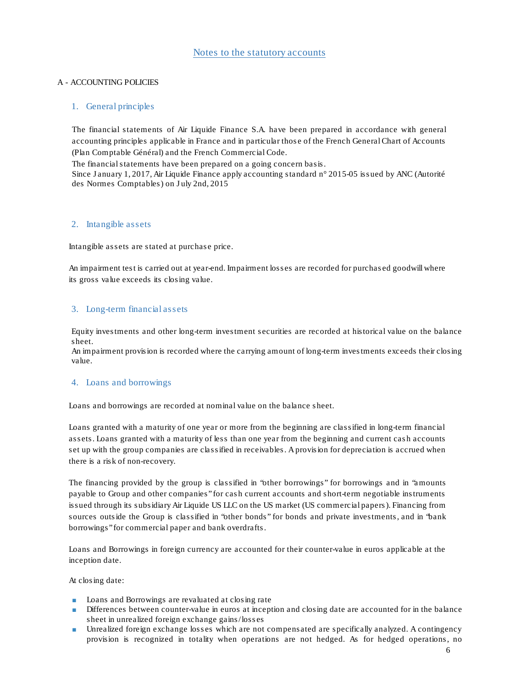### A - ACCOUNTING POLICIES

### 1. General principles

The financial statements of Air Liquide Finance S.A. have been prepared in accordance with general accounting principles applicable in France and in particular thos e of the French GeneralChart of Accounts (Plan Comptable Général) and the French Commercial Code.

The financial statements have been prepared on a going concern basis.

Since January 1, 2017, Air Liquide Finance apply accounting standard  $n^{\circ}$  2015-05 issued by ANC (Autorité des Normes Comptables) on J uly 2nd, 2015

### 2. Intangible assets

Intangible assets are stated at purchas e price.

An impairment test is carried out at year-end. Impairment loss es are recorded for purchas ed goodwill where its gross value exceeds its closing value.

### 3. Long-term financial ass ets

Equity investments and other long-term investment s ecurities are recorded at historical value on the balance sheet.

An impairment provision is recorded where the carrying amount of long-term investments exceeds their closing value.

### 4. Loans and borrowings

Loans and borrowings are recorded at nominal value on the balance sheet.

Loans granted with a maturity of one year or more from the beginning are classified in long-term financial assets. Loans granted with a maturity of less than one year from the beginning and current cash accounts set up with the group companies are classified in receivables. A provision for depreciation is accrued when there is a risk of non-recovery.

The financing provided by the group is classified in "other borrowings" for borrowings and in "amounts payable to Group and other companies " for cas h current accounts and short-term negotiable instruments issued through its subsidiary Air Liquide US LLC on the US market (US commercial papers). Financing from sources outside the Group is classified in "other bonds" for bonds and private investments, and in "bank borrowings"for commercial paper and bank overdrafts.

Loans and Borrowings in foreign currency are accounted for their counter-value in euros applicable at the inception date.

At closing date:

- Loans and Borrowings are revaluated at closing rate
- Differences between counter-value in euros at inception and closing date are accounted for in the balance sheet in unrealized foreign exchange gains/loss es
- Unrealized foreign exchange loss es which are not compens ated are specifically analyzed. A contingency provision is recognized in totality when operations are not hedged. As for hedged operations, no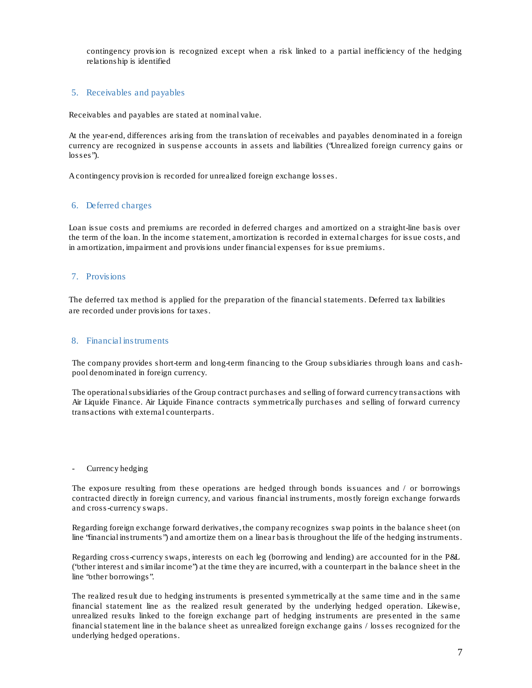contingency provision is recognized except when a risk linked to a partial inefficiency of the hedging relations hip is identified

### 5. Receivables and payables

Receivables and payables are stated at nominal value.

At the year-end, differences arising from the translation of receivables and payables denominated in a foreign currency are recognized in suspens e accounts in assets and liabilities ("Unrealized foreign currency gains or loss es ").

Acontingency provision is recorded for unrealized foreign exchange loss es.

### 6. Deferred charges

Loan issue costs and premiums are recorded in deferred charges and amortized on a straight-line basis over the term of the loan. In the income statement, amortization is recorded in external charges for issue costs, and in amortization, impa irment and provisions under financial expenses for issue premiums.

#### 7. Provisions

The deferred tax method is applied for the preparation of the financial statements. Deferred tax liabilities are recorded under provisions for taxes.

### 8. Financial instruments

The company provides s hort-term and long-term financing to the Group s ubsidiaries through loans and cas hpool denominated in foreign currency.

The operationalsubsidiaries of the Group contract purchases and s elling of forward currency transactions with Air Liquide Finance. Air Liquide Finance contracts symmetrically purchases and selling of forward currency trans actions with external counterparts.

#### - Currency hedging

The exposure resulting from these operations are hedged through bonds issuances and  $/$  or borrowings contracted directly in foreign currency, and various financial instruments, mostly foreign exchange forwards and cross-currency swaps.

Regarding foreign exchange forward derivatives, the company recognizes swap points in the balance sheet (on line "financial instruments ") and amortize them on a linear basis throughout the life of the hedging instruments.

Regarding cross-currency swaps, interests on each leg (borrowing and lending) are accounted for in the P&L ("other interest and similar income") at the time they are incurred, with a counterpart in the balance sheet in the line "other borrowings ".

The realized res ult due to hedging instruments is presented symmetrically at the same time and in the same financial statement line as the realized result generated by the underlying hedged operation. Likewise, unrealized results linked to the foreign exchange part of hedging instruments are presented in the same financialstatement line in the balance s heet as unrealized foreign exchange gains / loss es recognized for the underlying hedged operations.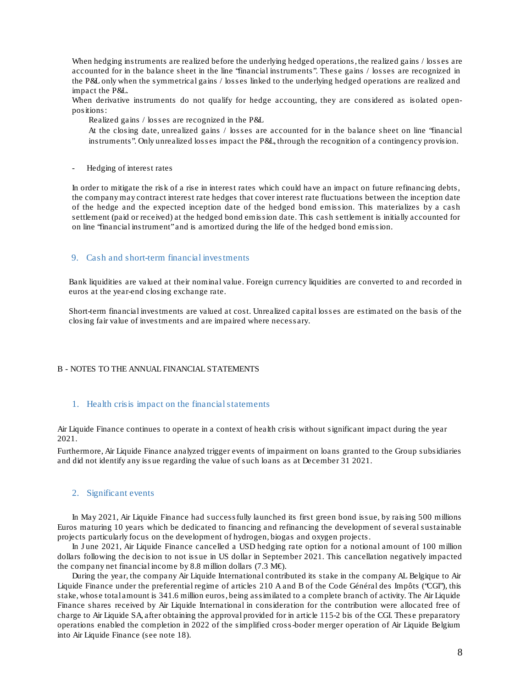When hedging instruments are realized before the underlying hedged operations, the realized gains / losses are accounted for in the balance sheet in the line 'financial instruments'. These gains / losses are recognized in the P&L only when the symmetrical gains / loss es linked to the underlying hedged operations are realized and impact the P&L.

When derivative instruments do not qualify for hedge accounting, they are considered as isolated openpositions:

Realized gains / losses are recognized in the P&L

At the closing date, unrealized gains / losses are accounted for in the balance s heet on line "financial instruments". Only unrealized losses impact the P&L, through the recognition of a contingency provision.

- Hedging of interest rates

In order to mitigate the risk of a rise in interest rates which could have an impact on future refinancing debts, the company may contract interest rate hedges that cover interest rate fluctuations between the inception date of the hedge and the expected inception date of the hedged bond emission. This materializes by a cash settlement (paid or received) at the hedged bond emission date. This cas h settlement is initially accounted for on line "financial instrument"and is amortized during the life of the hedged bond emission.

### 9. Cash and short-term financial investments

Bank liquidities are valued at their nominal value. Foreign currency liquidities are converted to and recorded in euros at the year-end closing exchange rate.

Short-term financial investments are valued at cost. Unrealized capital loss es are estimated on the basis of the closing fair value of investments and are impaired where necess ary.

#### B - NOTES TO THE ANNUAL FINANCIAL STATEMENTS

#### 1. Health crisis impact on the financialstatements

Air Liquide Finance continues to operate in a context of health crisis without significant impact during the year 2021.

Furthermore, Air Liquide Finance analyzed trigger events of impairment on loans granted to the Group subsidiaries and did not identify any iss ue regarding the value of s uch loans as at December 31 2021.

#### 2. Significant events

In May 2021, Air Liquide Finance had successfully launched its first green bond issue, by raising 500 millions Euros maturing 10 years which be dedicated to financing and refinancing the development of several sustainable projects particularly focus on the development of hydrogen, biogas and oxygen projects.

In J une 2021, Air Liquide Finance cancelled a USD hedging rate option for a notional amount of 100 million dollars following the decision to not issue in US dollar in September 2021. This cancellation negatively impacted the company net financial income by 8.8 million dollars (7.3 M€).

During the year, the company Air Liquide International contributed its stake in the company AL Belgique to Air Liquide Finance under the preferential regime of articles 210 A and B of the Code Général des Impôts ("CGI"), this stake, whos e total amount is 341.6 million euros, being assimilated to a complete branch of activity. The Air Liquide Finance shares received by Air Liquide International in consideration for the contribution were allocated free of charge to Air Liquide SA, after obtaining the approval provided for in article 115-2 bis of the CGI. Thes e preparatory operations enabled the completion in 2022 of the simplified cross-boder merger operation of Air Liquide Belgium into Air Liquide Finance (see note 18).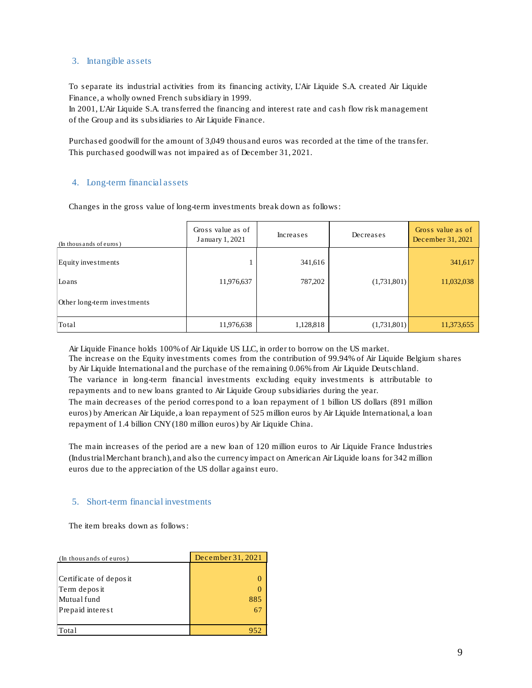### 3. Intangible assets

To s eparate its industrial activities from its financing activity, L'Air Liquide S.A. created Air Liquide Finance, a wholly owned French subsidiary in 1999.

In 2001, L'Air Liquide S.A. transferred the financing and interest rate and cash flow risk management of the Group and its s ubsidiaries to Air Liquide Finance.

Purchas ed goodwill for the amount of 3,049 thousand euros was recorded at the time of the transfer. This purchased goodwill was not impaired as of December 31, 2021.

### 4. Long-term financial assets

Changes in the gross value of long-term investments break down as follows:

| (In thousands of euros)     | Gross value as of<br>January 1, 2021 | Increases | Decreases   | Gross value as of<br>December 31, 2021 |
|-----------------------------|--------------------------------------|-----------|-------------|----------------------------------------|
| Equity investments          |                                      | 341,616   |             | 341,617                                |
| Loans                       | 11,976,637                           | 787,202   | (1,731,801) | 11,032,038                             |
| Other long-term investments |                                      |           |             |                                        |
| Total                       | 11,976,638                           | 1,128,818 | (1,731,801) | 11,373,655                             |

Air Liquide Finance holds 100% of Air Liquide US LLC, in order to borrow on the US market.

The increas e on the Equity investments comes from the contribution of 99.94% of Air Liquide Belgium shares by Air Liquide International and the purchase of the remaining 0.06% from Air Liquide Deutschland.

The variance in long-term financial investments excluding equity investments is attributable to repayments and to new loans granted to Air Liquide Group subsidiaries during the year.

The main decreases of the period corres pond to a loan repayment of 1 billion US dollars (891 million euros) by American Air Liquide, a loan repayment of 525 million euros by Air Liquide International, a loan repayment of 1.4 billion CNY(180 million euros) by Air Liquide China.

The main increases of the period are a new loan of 120 million euros to Air Liquide France Industries (IndustrialMerchant branch), and also the currency impact on American Air Liquide loans for 342 million euros due to the appreciation of the US dollar against euro.

### 5. Short-term financial investments

The item breaks down as follows:

| (In thousands of euros) | December 31, 2021 |
|-------------------------|-------------------|
|                         |                   |
| Certificate of deposit  |                   |
| Term deposit            |                   |
| Mutual fund             | 885               |
| Prepaid interest        |                   |
|                         |                   |
| Fotal                   |                   |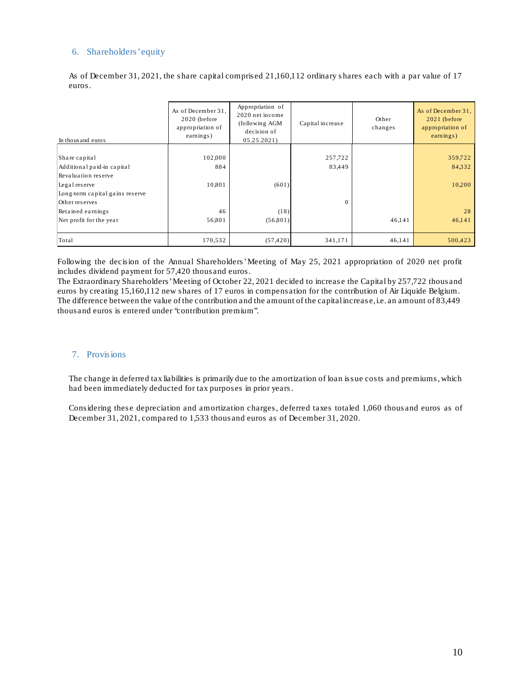### 6. Shareholders'equity

As of December 31, 2021, the s hare capital compris ed 21,160,112 ordinary s hares each with a par value of 17 euros.

| In thousand euros               | As of December 31,<br>$2020$ (before<br>appropriation of<br>earnings) | Appropriation of<br>2020 net income<br>(following AGM<br>decision of<br>05.25.2021) | Capital increase | Other<br>changes | As of December 31,<br>$2021$ (before)<br>appropriation of<br>$\text{earnings}$ ) |
|---------------------------------|-----------------------------------------------------------------------|-------------------------------------------------------------------------------------|------------------|------------------|----------------------------------------------------------------------------------|
|                                 |                                                                       |                                                                                     |                  |                  |                                                                                  |
| Share capital                   | 102,000                                                               |                                                                                     | 257,722          |                  | 359,722                                                                          |
| Additional paid-in capital      | 884                                                                   |                                                                                     | 83,449           |                  | 84332                                                                            |
| Revaluation reserve             |                                                                       |                                                                                     |                  |                  |                                                                                  |
| Legal reserve                   | 10,801                                                                | (601)                                                                               |                  |                  | 10,200                                                                           |
| Long-term capital gains reserve |                                                                       |                                                                                     |                  |                  |                                                                                  |
| Other reserves                  |                                                                       |                                                                                     | $\mathbf{0}$     |                  |                                                                                  |
| Retained earnings               | 46                                                                    | (18)                                                                                |                  |                  | 28                                                                               |
| Net profit for the year         | 56,801                                                                | (56,801)                                                                            |                  | 46,141           | 46,141                                                                           |
| Total                           | 170,532                                                               | (57, 420)                                                                           | 341,171          | 46,141           | 500,423                                                                          |

Following the decision of the Annual Shareholders'Meeting of May 25, 2021 appropriation of 2020 net profit includes dividend payment for 57,420 thous and euros.

The Extraordinary Shareholders' Meeting of October 22, 2021 decided to increase the Capital by 257,722 thous and euros by creating 15,160,112 new shares of 17 euros in compensation for the contribution of Air Liquide Belgium. The difference between the value of the contribution and the amount of the capital increase, i.e. an amount of 83,449 thousand euros is entered under "contribution premium".

### 7. Provisions

The change in deferred tax liabilities is primarily due to the amortization of loan issue costs and premiums, which had been immediately deducted for tax purposes in prior years.

Considering thes e depreciation and amortization charges, deferred taxes totaled 1,060 thous and euros as of December 31, 2021, compa red to 1,533 thous and euros as of December 31, 2020.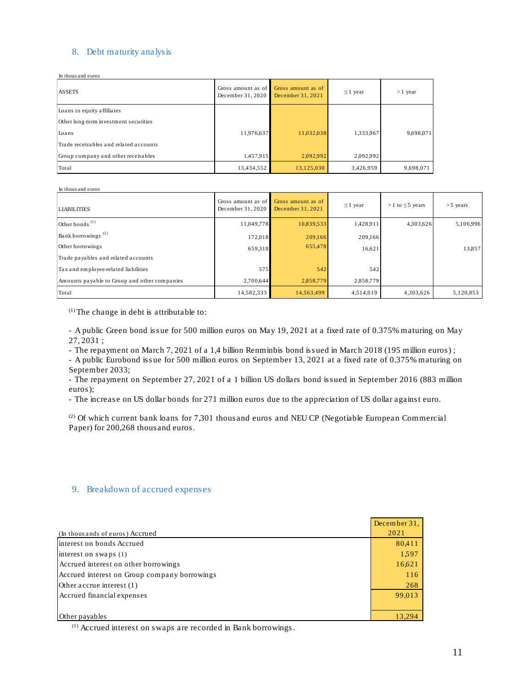# 8. Debt maturity analysis

In thous and euros

| <b>ASSETS</b>                          | Gross amount as of<br>December 31, 2020 | Gross amount as of<br>December 31, 2021 | $\leq$ 1 year | $>1$ year |
|----------------------------------------|-----------------------------------------|-----------------------------------------|---------------|-----------|
| Loans to equity affiliates             |                                         |                                         |               |           |
| Other long-term investment securities  |                                         |                                         |               |           |
| Loans                                  | 11,976,637                              | 11,032,038                              | 1,333,967     | 9,698,071 |
| Trade receivables and related accounts |                                         |                                         |               |           |
| Group company and other receivables    | 1,457.915                               | 2,092,992                               | 2,092,992     |           |
| Total                                  | 13,434,552                              | 13,125,030                              | 3,426,959     | 9,698,071 |

In thous and euros

| <b>LIABILITIES</b>                           | Gross amount as of<br>December 31, 2020 | Gross amount as of<br>December $31,2021$ | $\leq$ 1 year | $>1$ to $\leq$ 5 years | $>$ 5 years |
|----------------------------------------------|-----------------------------------------|------------------------------------------|---------------|------------------------|-------------|
| Other bonds <sup>(1)</sup>                   | 11,049,778                              | 10,839,533                               | 1,428,911     | 4,303,626              | 5,106,996   |
| Bank borrowings <sup>(2)</sup>               | 172.018                                 | 209,166                                  | 209,166       |                        |             |
| Other borrowings                             | 659318                                  | 655,478                                  | 16,621        |                        | 13,857      |
| Trade payables and related accounts          |                                         |                                          |               |                        |             |
| Tax and employee-related liabilities         | 575                                     | 542                                      | 542           |                        |             |
| Amounts payable to Group and other companies | 2.700.644                               | 2.858.779                                | 2,858,779     |                        |             |
| Total                                        | 14,582,333                              | 14,563,499                               | 4,514,019     | 4.303.626              | 5,120,853   |

(1) The change in debt is attributable to:

- A public Green bond issue for 500 million euros on May 19, 2021 at a fixed rate of 0.375% maturing on May 27, 2031 ;

- The repayment on March 7, 2021 of a 1,4 billion Renminbis bond issued in March 2018 (195 million euros) ;

- A public Eurobond iss ue for 500 million euros on September 13, 2021 at a fixed rate of 0.375% maturing on September 2033;

- The repayment on September 27, 2021 of a 1 billion US dollars bond issued in September 2016 (883 million euros);

- The increas e on US dollar bonds for 271 million euros due to the appreciation of US dollar against euro.

<sup>(2)</sup> Of which current bank loans for 7,301 thous and euros and NEU CP (Negotiable European Commercial Paper) for 200,268 thousand euros.

# 9. Breakdown of accrued expenses

|                                              | December 31, |
|----------------------------------------------|--------------|
| (In thousands of euros) Accrued              | 2021         |
| interest on bonds Accrued                    | 80,411       |
| interest on swaps $(1)$                      | 1.597        |
| Accrued interest on other borrowings         | 16,621       |
| Accrued interest on Group company borrowings | 116          |
| Other accrue interest $(1)$                  | 268          |
| Accrued financial expenses                   | 99,013       |
|                                              |              |
| Other payables                               | 13,294       |

(1) Accrued interest on swaps are recorded in Bank borrowings.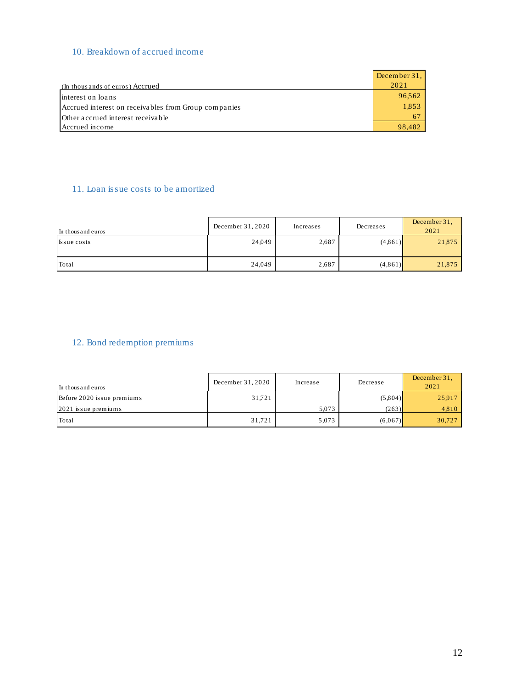# 10. Breakdown of accrued income

|                                                      | December $31.$ |
|------------------------------------------------------|----------------|
| (In thous ands of euros) Accrued                     | 2021           |
| linterest on loans                                   | 96.562         |
| Accrued interest on receivables from Group companies | 1,853          |
| Other accrued interest receivable                    | 61             |
| Accrued income                                       | 98.482         |

# 11. Loan issue costs to be amortized

| In thous and euros | December 31, 2020 | Increases | Decreases | December 31,<br>2021 |
|--------------------|-------------------|-----------|-----------|----------------------|
| Issue costs        | 24,049            | 2,687     | (4.861)   | 21,875               |
| Total              | 24,049            | 2,687     | (4,861)   | 21,875               |

# 12. Bond redemption premiums

| In thous and euros          | December 31, 2020 | Increase | Decrease | December 31,<br>2021 |
|-----------------------------|-------------------|----------|----------|----------------------|
| Before 2020 is sue premiums | 31,721            |          | (5,804)  | 25.917               |
| $ 2021$ issue premiums      |                   | 5.073    | (263)    | 4,810                |
| Total                       | 31,721            | 5,073    | (6,067)  | 30,727               |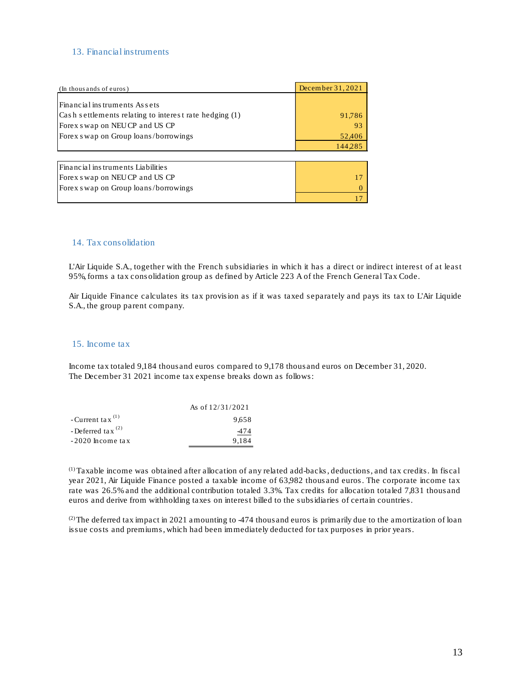### 13. Financial instruments

| (In thous ands of euros)                               | December 31, 2021 |
|--------------------------------------------------------|-------------------|
|                                                        |                   |
| Financial instruments Assets                           |                   |
| Cash settlements relating to interest rate hedging (1) | 91,786            |
| Forex swap on NEUCP and US CP                          | 93                |
| Forex swap on Group loans/borrowings                   | 52,406            |
|                                                        | 144.285           |
|                                                        |                   |
| Financial instruments Liabilities                      |                   |
| Forex s wap on NEUCP and US CP                         |                   |
| Forex s wap on Group loans/borrowings                  |                   |
|                                                        |                   |

### 14. Tax consolidation

L'Air Liquide S.A., together with the French subsidiaries in which it has a direct or indirect interest of at least 95%, forms a tax consolidation group as defined by Article 223 A of the French General Tax Code.

Air Liquide Finance calculates its tax provision as if it was taxed separa tely and pays its tax to L'Air Liquide S.A., the group parent company.

### 15. Income tax

Income tax totaled 9,184 thousand euros compared to 9,178 thous and euros on December 31, 2020. The December 31 2021 income tax expense breaks down as follows:

|                             | As of 12/31/2021 |
|-----------------------------|------------------|
| -Current tax <sup>(1)</sup> | 9.658            |
| -Deferred tax $(2)$         | -474             |
| $-2020$ Income tax          | 9.184            |

(1)Taxable income was obtained after allocation of any related add-backs, deductions, and tax credits. In fiscal year 2021, Air Liquide Finance posted a taxable income of 63,982 thous and euros. The corporate income tax rate was 26.5% and the additional contribution totaled 3.3%. Tax credits for allocation totaled 7,831 thous and euros and derive from withholding taxes on interest billed to the subsidiaries of certain countries.

(2) The deferred tax impact in 2021 amounting to  $-474$  thousand euros is primarily due to the amortization of loan issue costs and premiums, which had been immediately deducted for tax purposes in prior years.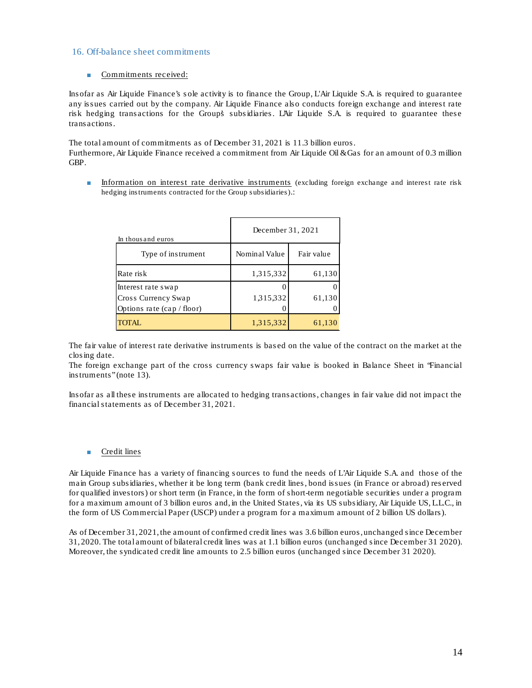### 16. Off-balance sheet commitments

### ■ Commitments received:

Insofar as Air Liquide Finance's s ole activity is to finance the Group, L'Air Liquide S.A. is required to guarantee any issues carried out by the company. Air Liquide Finance also conducts foreign exchange and interest rate risk hedging transactions for the Group's subsidiaries. L'Air Liquide S.A. is required to guarantee these trans actions.

The total amount of commitments as of December 31, 2021 is 11.3 billion euros. Furthermore, Air Liquide Finance received a commitment from Air Liquide Oil &Gas for an amount of 0.3 million GBP.

■ Information on interest rate derivative instruments (excluding foreign exchange and interest rate risk hedging instruments contracted for the Group subsidiaries).:

| In thous and euros                                                      | December 31, 2021 |            |  |
|-------------------------------------------------------------------------|-------------------|------------|--|
| Type of instrument                                                      | Nominal Value     | Fair value |  |
| Rate risk                                                               | 1,315,332         | 61,130     |  |
| Interest rate swap<br>Cross Currency Swap<br>Options rate (cap / floor) | 1,315,332         | 61,130     |  |
| TOTAL                                                                   | 1,315,332         | 61,130     |  |

The fair value of interest rate derivative instruments is bas ed on the value of the contract on the market at the closing date.

The foreign exchange part of the cross currency swaps fair value is booked in Balance Sheet in "Financial instruments" (note 13).

Insofar as all these instruments are allocated to hedging transactions, changes in fair value did not impact the financialstatements as of December 31, 2021.

### ■ Credit lines

Air Liquide Finance has a variety of financing s ources to fund the needs of L'Air Liquide S.A. and those of the main Group subsidiaries, whether it be long term (bank credit lines, bond issues (in France or abroad) res erved for qualified investors) or s hort term (in France, in the form of short-term negotiable s ecurities under a program for a maximum amount of 3 billion euros and, in the United States, via its US subsidiary, Air Liquide US, L.L.C., in the form of US Commercial Paper (USCP) under a program for a maximum amount of 2 billion US dollars).

As of December 31, 2021, the amount of confirmed credit lines was 3.6 billion euros, unchanged since December 31, 2020. The total amount of bilateral credit lines was at 1.1 billion euros (unchanged since December 31 2020). Moreover, the syndicated credit line amounts to 2.5 billion euros (unchanged since December 31 2020).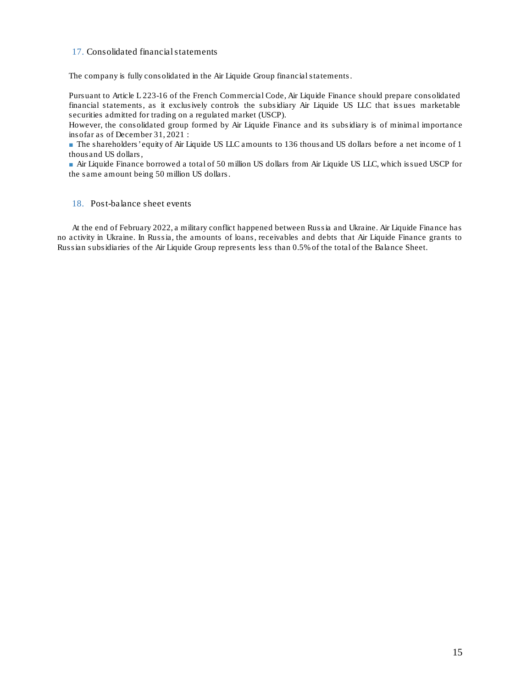### 17. Consolidated financialstatements

The company is fully consolidated in the Air Liquide Group financialstatements.

Pursuant to Article L 223-16 of the French Commercial Code, Air Liquide Finance should prepare consolidated financial statements, as it exclusively controls the subsidiary Air Liquide US LLC that issues marketable securities admitted for trading on a regulated market (USCP).

However, the consolidated group formed by Air Liquide Finance and its subsidiary is of minimal importance insofar as of December 31, 2021 :

■ The shareholders'equity of Air Liquide US LLC amounts to 136 thous and US dollars before a net income of 1 thousand US dollars,

■ Air Liquide Finance borrowed a total of 50 million US dollars from Air Liquide US LLC, which issued USCP for the s ame amount being 50 million US dollars.

### 18. Post-balance sheet events

At the end of February 2022, a military conflict happened between Russia and Ukraine. Air Liquide Finance has no activity in Ukraine. In Russia, the amounts of loans, receivables and debts that Air Liquide Finance grants to Russian subsidiaries of the Air Liquide Group represents less than 0.5% of the total of the Balance Sheet.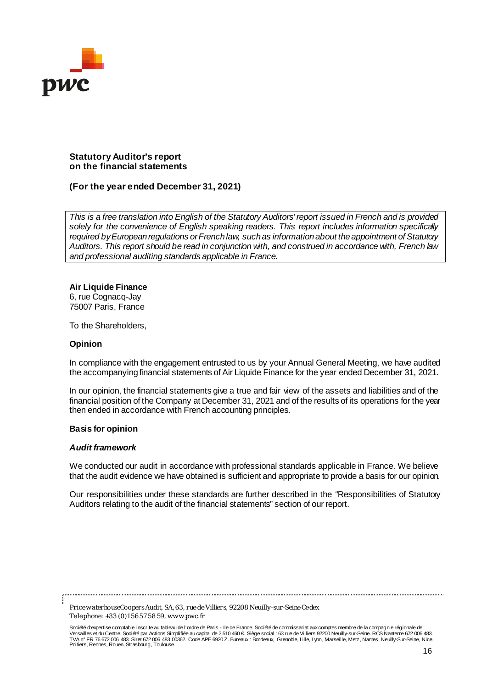

# **Statutory Auditor's report on the financial statements**

# **(For the year ended December 31, 2021)**

This is a free translation into English of the Statutory Auditors' report issued in French and is provided *solely for the convenience of English speaking readers. This report includes information specifically required byEuropeanregulations orFrenchlaw, suchas informationabout theappointment of Statutory Auditors. This report should be read in conjunction with, and construed in accordance with, French law and professional auditing standards applicable in France.*

# **Air Liquide Finance**

6, rue Cognacq-Jay 75007 Paris, France

To the Shareholders,

### **Opinion**

In compliance with the engagement entrusted to us by your Annual General Meeting, we have audited the accompanyingfinancial statements of Air Liquide Finance for the year ended December 31, 2021.

In our opinion, the financial statements give a true and fair view of the assets and liabilities and of the financial position of the Company at December 31, 2021 and of the results of its operations for the year then ended in accordance with French accounting principles.

### **Basis for opinion**

### *Audit framework*

We conducted our audit in accordance with professional standards applicable in France. We believe that the audit evidence we have obtained is sufficient and appropriate to provide a basis for our opinion.

Our responsibilities under these standards are further described in the "Responsibilities of Statutory Auditors relating to the audit of the financial statements" section of our report.

*PricewaterhouseCoopersAudit, SA,63, rue de Villiers, 92208 Neuilly-sur-Seine Cedex Te lephone: +33 (0)1 5657 58 59, www.pwc.fr*

Société d'expertise comptable inscrite au tableau de l'ordre de Paris - lle de France. Société de commissariat aux comptes membre de la compagnie régionale de<br>Versailles et du Centre. Société par Actions Simplifiée au cap TVA n° FR 76 672 006 483. Siret 672 006 483 00362. Code APE 6920 Z. Bureaux : Bordeaux, Grenoble, Lille, Lyon, Marseille, Metz, Nantes, Neuilly-Sur-Seine, Nice, Poitiers, Rennes, Rouen, Strasbourg, Toulouse.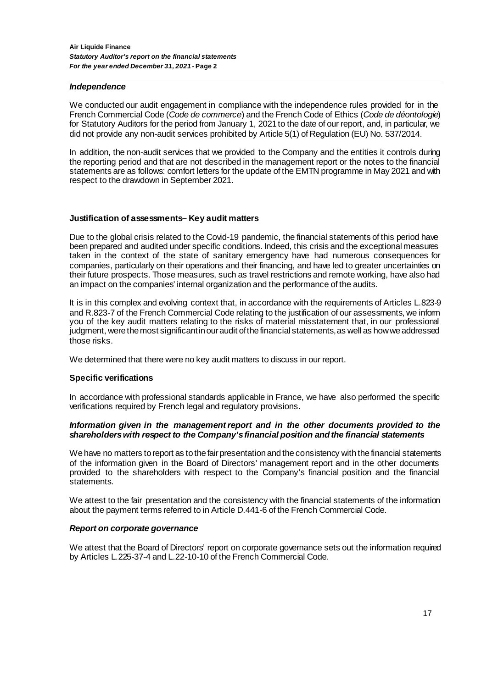# *Independence*

We conducted our audit engagement in compliance with the independence rules provided for in the French Commercial Code (*Code de commerce*) and the French Code of Ethics (*Code de déontologie*) for Statutory Auditors for the period from January 1, 2021 to the date of our report, and, in particular, we did not provide any non-audit services prohibited by Article 5(1) of Regulation (EU) No. 537/2014.

In addition, the non-audit services that we provided to the Company and the entities it controls during the reporting period and that are not described in the management report or the notes to the financial statements are as follows: comfort letters for the update of the EMTN programme in May 2021 and with respect to the drawdown in September 2021.

# **Justification of assessments– Key audit matters**

Due to the global crisis related to the Covid-19 pandemic, the financial statements of this period have been prepared and audited under specific conditions. Indeed, this crisis and the exceptional measures taken in the context of the state of sanitary emergency have had numerous consequences for companies, particularly on their operations and their financing, and have led to greater uncertainties on their future prospects. Those measures, such as travel restrictions and remote working, have also had an impact on the companies' internal organization and the performance of the audits.

It is in this complex and evolving context that, in accordance with the requirements of Articles L.823-9 and R.823-7 of the French Commercial Code relating to the justification of our assessments, we inform you of the key audit matters relating to the risks of material misstatement that, in our professional judgment, were the most significant in our audit of the financial statements, as well as how we addressed those risks.

We determined that there were no key audit matters to discuss in our report.

# **Specific verifications**

In accordance with professional standards applicable in France, we have also performed the specific verifications required by French legal and regulatory provisions.

### *Information given in the management report* and *in* the *other documents provided to the shareholderswith respect to the Company'sfinancial position and the financial statements*

We have no matters to report as to the fair presentation and the consistency with the financial statements of the information given in the Board of Directors' management report and in the other documents provided to the shareholders with respect to the Company's financial position and the financial statements.

We attest to the fair presentation and the consistency with the financial statements of the information about the payment terms referred to in Article D.441-6 of the French Commercial Code.

### *Report on corporate governance*

We attest that the Board of Directors' report on corporate governance sets out the information required by Articles L.225-37-4 and L.22-10-10 of the French Commercial Code.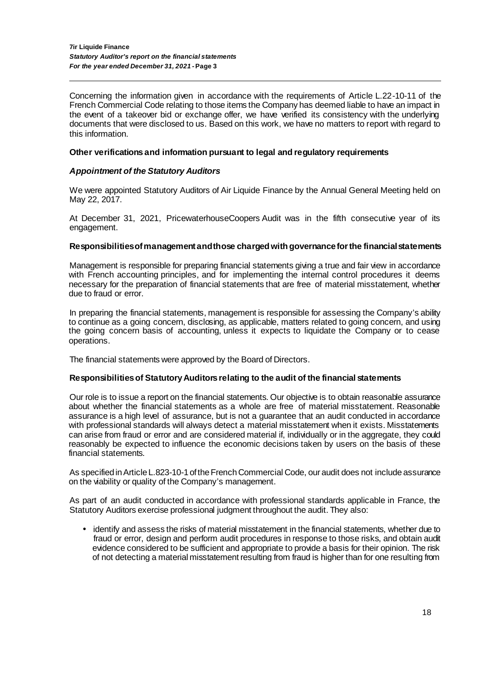Concerning the information given in accordance with the requirements of Article L.22-10-11 of the French Commercial Code relating to those items the Company has deemed liable to have an impact in the event of a takeover bid or exchange offer, we have verified its consistency with the underlying documents that were disclosed to us. Based on this work, we have no matters to report with regard to this information.

### **Other verifications and information pursuant to legal and regulatory requirements**

### *Appointment of the Statutory Auditors*

We were appointed Statutory Auditors of Air Liquide Finance by the Annual General Meeting held on May 22, 2017.

At December 31, 2021, PricewaterhouseCoopers Audit was in the fifth consecutive year of its engagement.

### **Responsibilitiesofmanagementandthose chargedwithgovernanceforthe financialstatements**

Management is responsible for preparing financial statements giving a true and fair view in accordance with French accounting principles, and for implementing the internal control procedures it deems necessary for the preparation of financial statements that are free of material misstatement, whether due to fraud or error.

In preparing the financial statements, management is responsible for assessing the Company's ability to continue as a going concern, disclosing, as applicable, matters related to going concern, and using the going concern basis of accounting, unless it expects to liquidate the Company or to cease operations.

The financial statements were approved by the Board of Directors.

### **Responsibilitiesof StatutoryAuditorsrelating to the audit of the financial statements**

Our role is to issue a report on the financial statements. Our objective is to obtain reasonable assurance about whether the financial statements as a whole are free of material misstatement. Reasonable assurance is a high level of assurance, but is not a guarantee that an audit conducted in accordance with professional standards will always detect a material misstatement when it exists. Misstatements can arise from fraud or error and are considered material if, individually or in the aggregate, they could reasonably be expected to influence the economic decisions taken by users on the basis of these financial statements.

As specified inArticle L.823-10-1 oftheFrenchCommercial Code, our audit does not include assurance on the viability or quality of the Company's management.

As part of an audit conducted in accordance with professional standards applicable in France, the Statutory Auditors exercise professional judgment throughout the audit. They also:

• identify and assess the risks of material misstatement in the financial statements, whether due to fraud or error, design and perform audit procedures in response to those risks, and obtain audit evidence considered to be sufficient and appropriate to provide a basis for their opinion. The risk of not detecting a material misstatement resulting from fraud is higher than for one resulting from